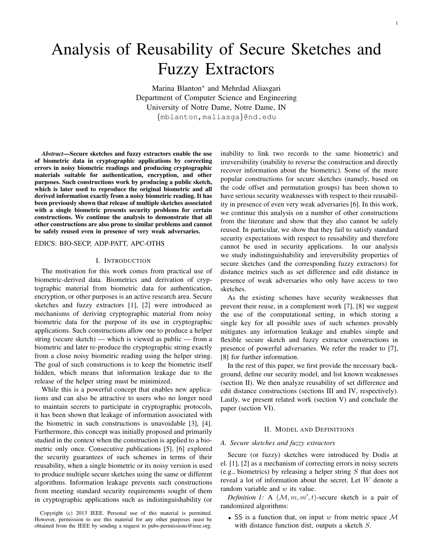# Analysis of Reusability of Secure Sketches and Fuzzy Extractors

Marina Blanton<sup>\*</sup> and Mehrdad Aliasgari Department of Computer Science and Engineering University of Notre Dame, Notre Dame, IN {mblanton,maliasga}@nd.edu

*Abstract*—Secure sketches and fuzzy extractors enable the use of biometric data in cryptographic applications by correcting errors in noisy biometric readings and producing cryptographic materials suitable for authentication, encryption, and other purposes. Such constructions work by producing a public sketch, which is later used to reproduce the original biometric and all derived information exactly from a noisy biometric reading. It has been previously shown that release of multiple sketches associated with a single biometric presents security problems for certain constructions. We continue the analysis to demonstrate that all other constructions are also prone to similar problems and cannot be safely reused even in presence of very weak adversaries.

## EDICS: BIO-SECP, ADP-PATT, APC-OTHS

## I. INTRODUCTION

The motivation for this work comes from practical use of biometric-derived data. Biometrics and derivation of cryptographic material from biometric data for authentication, encryption, or other purposes is an active research area. Secure sketches and fuzzy extractors [1], [2] were introduced as mechanisms of deriving cryptographic material from noisy biometric data for the purpose of its use in cryptographic applications. Such constructions allow one to produce a helper string (secure sketch) — which is viewed as public — from a biometric and later re-produce the cryptographic string exactly from a close noisy biometric reading using the helper string. The goal of such constructions is to keep the biometric itself hidden, which means that information leakage due to the release of the helper string must be minimized.

While this is a powerful concept that enables new applications and can also be attractive to users who no longer need to maintain secrets to participate in cryptographic protocols, it has been shown that leakage of information associated with the biometric in such constructions is unavoidable [3], [4]. Furthermore, this concept was initially proposed and primarily studied in the context when the construction is applied to a biometric only once. Consecutive publications [5], [6] explored the security guarantees of such schemes in terms of their reusability, when a single biometric or its noisy version is used to produce multiple secure sketches using the same or different algorithms. Information leakage prevents such constructions from meeting standard security requirements sought of them in cryptographic applications such as indistinguishability (or

Copyright (c) 2013 IEEE. Personal use of this material is permitted. However, permission to use this material for any other purposes must be obtained from the IEEE by sending a request to pubs-permissions@ieee.org. inability to link two records to the same biometric) and irreversibility (inability to reverse the construction and directly recover information about the biometric). Some of the more popular constructions for secure sketches (namely, based on the code offset and permutation groups) has been shown to have serious security weaknesses with respect to their reusability in presence of even very weak adversaries [6]. In this work, we continue this analysis on a number of other constructions from the literature and show that they also cannot be safely reused. In particular, we show that they fail to satisfy standard security expectations with respect to reusability and therefore cannot be used in security applications. In our analysis we study indistinguishability and irreversibility properties of secure sketches (and the corresponding fuzzy extractors) for distance metrics such as set difference and edit distance in presence of weak adversaries who only have access to two sketches.

As the existing schemes have security weaknesses that prevent their reuse, in a complement work [7], [8] we suggest the use of the computational setting, in which storing a single key for all possible uses of such schemes provably mitigates any information leakage and enables simple and flexible secure sketch and fuzzy extractor constructions in presence of powerful adversaries. We refer the reader to [7], [8] for further information.

In the rest of this paper, we first provide the necessary background, define our security model, and list known weaknesses (section II). We then analyze reusability of set difference and edit distance constructions (sections III and IV, respectively). Lastly, we present related work (section V) and conclude the paper (section VI).

#### II. MODEL AND DEFINITIONS

## *A. Secure sketches and fuzzy extractors*

Secure (or fuzzy) sketches were introduced by Dodis at el. [1], [2] as a mechanism of correcting errors in noisy secrets (e.g., biometrics) by releasing a helper string  $S$  that does not reveal a lot of information about the secret. Let W denote a random variable and w its value.

*Definition 1:* A  $(M, m, m', t)$ -secure sketch is a pair of randomized algorithms:

• SS is a function that, on input  $w$  from metric space  $\mathcal M$ with distance function dist, outputs a sketch S.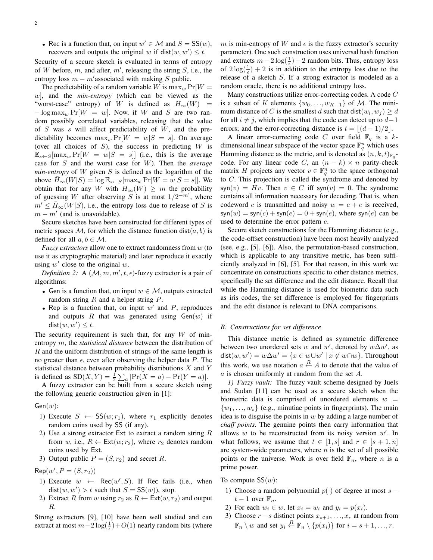• Rec is a function that, on input  $w' \in \mathcal{M}$  and  $S = SS(w)$ ,

recovers and outputs the original w if  $dist(w, w') \leq t$ . Security of a secure sketch is evaluated in terms of entropy of W before,  $m$ , and after,  $m'$ , releasing the string  $S$ , i.e., the entropy loss  $m - m'$  associated with making S public.

The predictability of a random variable W is  $\max_w \Pr[W =$ w], and the *min-entropy* (which can be viewed as the "worst-case" entropy) of W is defined as  $H_{\infty}(W)$  =  $-\log \max_w \Pr[W = w]$ . Now, if W and S are two random possibly correlated variables, releasing that the value of  $S$  was  $s$  will affect predictability of  $W$ , and the predictability becomes  $\max_w \Pr[W = w | S = s]$ . On average (over all choices of  $S$ ), the success in predicting  $W$  is  $\mathbb{E}_{s \leftarrow S}[\max_{w} \Pr[W = w | S = s]]$  (i.e., this is the average case for S and the worst case for W). Then the *average*  $min\text{-entropy}$  of W given S is defined as the logarithm of the above  $H_{\infty}(W|S) = \log \mathbb{E}_{s \leftarrow S}[\max_{w} \Pr[W = w|S = s]].$  We obtain that for any W with  $H_{\infty}(W) \geq m$  the probability of guessing W after observing S is at most  $1/2^{-m'}$ , where  $m' \leq H_{\infty}(W|S)$ , i.e., the entropy loss due to release of S is  $m - m'$  (and is unavoidable).

Secure sketches have been constructed for different types of metric spaces M, for which the distance function dist $(a, b)$  is defined for all  $a, b \in \mathcal{M}$ .

*Fuzzy extractors* allow one to extract randomness from w (to use it as cryptographic material) and later reproduce it exactly using  $w'$  close to the original  $w$ .

*Definition 2:* A  $(M, m, m', t, \epsilon)$ -fuzzy extractor is a pair of algorithms:

- Gen is a function that, on input  $w \in \mathcal{M}$ , outputs extracted random string  $R$  and a helper string  $P$ .
- Rep is a function that, on input  $w'$  and  $P$ , reproduces and outputs R that was generated using  $Gen(w)$  if  $dist(w, w') \leq t.$

The security requirement is such that, for any  $W$  of minentropy m, the *statistical distance* between the distribution of  $R$  and the uniform distribution of strings of the same length is no greater than  $\epsilon$ , even after observing the helper data P. The statistical distance between probability distributions  $X$  and  $Y$ is defined as  $SD(X, Y) = \frac{1}{2} \sum_a |Pr(X = a) - Pr(Y = a)|$ .

A fuzzy extractor can be built from a secure sketch using the following generic construction given in [1]:

 $Gen(w)$ :

- 1) Execute  $S \leftarrow SS(w; r_1)$ , where  $r_1$  explicitly denotes random coins used by SS (if any).
- 2) Use a strong extractor Ext to extract a random string  $R$ from w, i.e.,  $R \leftarrow \text{Ext}(w; r_2)$ , where  $r_2$  denotes random coins used by Ext.
- 3) Output public  $P = (S, r_2)$  and secret R.

 $\mathsf{Rep}(w', P = (S, r_2))$ 

- 1) Execute  $w \leftarrow \text{Rec}(w', S)$ . If Rec fails (i.e., when  $dist(w, w') > t$  such that  $S = SS(w)$ , stop.
- 2) Extract R from w using  $r_2$  as  $R \leftarrow \text{Ext}(w, r_2)$  and output R.

Strong extractors [9], [10] have been well studied and can extract at most  $m-2\log(\frac{1}{\epsilon})+O(1)$  nearly random bits (where

m is min-entropy of W and  $\epsilon$  is the fuzzy extractor's security parameter). One such construction uses universal hash function and extracts  $m - 2\log(\frac{1}{\epsilon}) + 2$  random bits. Thus, entropy loss of  $2\log(\frac{1}{\epsilon}) + 2$  is in addition to the entropy loss due to the release of a sketch S. If a strong extractor is modeled as a random oracle, there is no additional entropy loss.

Many constructions utilize error-correcting codes. A code C is a subset of K elements  $\{w_0, \ldots, w_{K-1}\}$  of M. The minimum distance of C is the smallest  $d$  such that  $\textsf{dist}(w_i, w_j) \geq d$ for all  $i \neq j$ , which implies that the code can detect up to  $d-1$ errors; and the error-correcting distance is  $t = |(d-1)/2|$ .

A linear error-correcting code C over field  $\mathbb{F}_q$  is a kdimensional linear subspace of the vector space  $\mathbb{F}_q^n$  which uses Hamming distance as the metric, and is denoted as  $(n, k, t)_{\mathbb{F}_q}$ . code. For any linear code C, an  $(n - k) \times n$  parity-check matrix H projects any vector  $v \in \mathbb{F}_q^n$  to the space orthogonal to  $C$ . This projection is called the syndrome and denoted by  $syn(v) = Hv$ . Then  $v \in C$  iff  $syn(v) = 0$ . The syndrome contains all information necessary for decoding. That is, when codeword c is transmitted and noisy  $w = c + e$  is received,  $syn(w) = syn(c) + syn(e) = 0 + syn(e)$ , where syn(e) can be used to determine the error pattern e.

Secure sketch constructions for the Hamming distance (e.g., the code-offset construction) have been most heavily analyzed (see, e.g., [5], [6]). Also, the permutation-based construction, which is applicable to any transitive metric, has been sufficiently analyzed in [6], [5]. For that reason, in this work we concentrate on constructions specific to other distance metrics, specifically the set difference and the edit distance. Recall that while the Hamming distance is used for biometric data such as iris codes, the set difference is employed for fingerprints and the edit distance is relevant to DNA comparisons.

#### *B. Constructions for set difference*

This distance metric is defined as symmetric difference between two unordered sets w and w', denoted by  $w\Delta w'$ , as dist $(w, w') = w\Delta w' = \{x \in w \cup w' \mid x \notin w \cap w\}$ . Throughout this work, we use notation  $a \stackrel{R}{\leftarrow} A$  to denote that the value of  $a$  is chosen uniformly at random from the set  $A$ .

*1) Fuzzy vault:* The fuzzy vault scheme designed by Juels and Sudan [11] can be used as a secure sketch when the biometric data is comprised of unordered elements  $w =$  $\{w_1, \ldots, w_s\}$  (e.g., minutiae points in fingerprints). The main idea is to disguise the points in  $w$  by adding a large number of *chaff points*. The genuine points then carry information that allows  $w$  to be reconstructed from its noisy version  $w'$ . In what follows, we assume that  $t \in [1, s]$  and  $r \in [s + 1, n]$ are system-wide parameters, where  $n$  is the set of all possible points or the universe. Work is over field  $\mathbb{F}_n$ , where *n* is a prime power.

To compute  $SS(w)$ :

- 1) Choose a random polynomial  $p(\cdot)$  of degree at most s −  $t-1$  over  $\mathbb{F}_n$ .
- 2) For each  $w_i \in w$ , let  $x_i = w_i$  and  $y_i = p(x_i)$ .
- 3) Choose  $r-s$  distinct points  $x_{s+1}, \ldots, x_r$  at random from  $\mathbb{F}_n \setminus w$  and set  $y_i \stackrel{R}{\leftarrow} \mathbb{F}_n \setminus \{p(x_i)\}\)$  for  $i = s + 1, \ldots, r$ .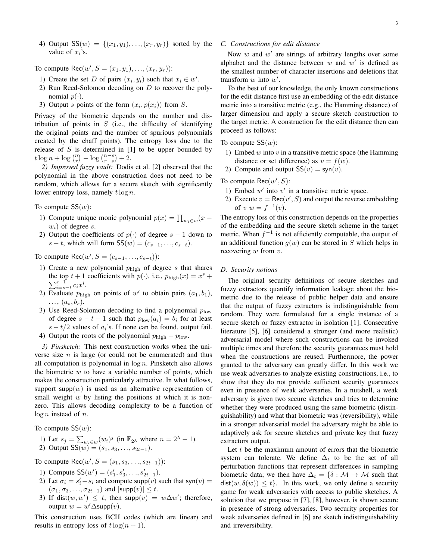4) Output  $SS(w) = \{(x_1, y_1), \ldots, (x_r, y_r)\}\)$  sorted by the value of  $x_i$ 's.

To compute  $\text{Rec}(w', S = (x_1, y_1), \dots, (x_r, y_r))$ :

- 1) Create the set D of pairs  $(x_i, y_i)$  such that  $x_i \in w'$ .
- 2) Run Reed-Solomon decoding on D to recover the polynomial  $p(\cdot)$ .
- 3) Output s points of the form  $(x_i, p(x_i))$  from S.

Privacy of the biometric depends on the number and distribution of points in  $S$  (i.e., the difficulty of identifying the original points and the number of spurious polynomials created by the chaff points). The entropy loss due to the release of  $S$  is determined in [1] to be upper bounded by  $t \log n + \log {n \choose r} - \log {n-s \choose r-s} + 2.$ 

*2) Improved fuzzy vault:* Dodis et al. [2] observed that the polynomial in the above construction does not need to be random, which allows for a secure sketch with significantly lower entropy loss, namely  $t \log n$ .

To compute  $SS(w)$ :

- 1) Compute unique monic polynomial  $p(x) = \prod_{w_i \in w} (x$  $w_i$ ) of degree s.
- 2) Output the coefficients of  $p(.)$  of degree  $s 1$  down to  $s - t$ , which will form  $SS(w) = (c_{s-1}, \ldots, c_{s-t}).$

To compute  $\text{Rec}(w', S = (c_{s-1}, \ldots, c_{s-t}))$ :

- 1) Create a new polynomial  $p_{\text{high}}$  of degree s that shares the top  $t + 1$  coefficients with  $p(\cdot)$ , i.e.,  $p_{\text{high}}(x) = x^s +$  $\sum_{i=s-t}^{s-1} c_i x^i.$
- 2) Evaluate  $p_{\text{high}}$  on points of w' to obtain pairs  $(a_1, b_1)$ ,  $\ldots$ ,  $(a_s, b_s)$ .
- 3) Use Reed-Solomon decoding to find a polynomial  $p_{\text{low}}$ of degree  $s - t - 1$  such that  $p_{\text{low}}(a_i) = b_i$  for at least  $s - t/2$  values of  $a_i$ 's. If none can be found, output fail.
- 4) Output the roots of the polynomial  $p_{\text{high}} p_{\text{low}}$ .

*3) Pinsketch:* This next construction works when the universe size  $n$  is large (or could not be enumerated) and thus all computation is polynomial in  $\log n$ . Pinsketch also allows the biometric  $w$  to have a variable number of points, which makes the construction particularly attractive. In what follows, support supp $(w)$  is used as an alternative representation of small weight  $w$  by listing the positions at which it is nonzero. This allows decoding complexity to be a function of  $\log n$  instead of n.

To compute  $SS(w)$ :

1) Let 
$$
s_j = \sum_{w_i \in w} (w_i)^j
$$
 (in  $\mathbb{F}_{2^\lambda}$  where  $n = 2^\lambda - 1$ ).  
2) Output  $SS(w) = (s_1, s_3, \dots, s_{2t-1})$ .

To compute  $\text{Rec}(w', S = (s_1, s_3, \ldots, s_{2t-1}))$ :

- 1) Compute  $SS(w') = (s'_1, s'_3, \ldots, s'_{2t-1}).$
- 2) Let  $\sigma_i = s'_i s_i$  and compute supp $(v)$  such that syn $(v)$  =  $(\sigma_1, \sigma_3, \ldots, \sigma_{2t-1})$  and  $|\textsf{supp}(v)| \leq t$ .
- 3) If dist $(w, w') \leq t$ , then supp $(v) = w \Delta w'$ ; therefore, output  $w = w' \Delta \text{supp}(v)$ .

This construction uses BCH codes (which are linear) and results in entropy loss of  $t \log(n + 1)$ .

## *C. Constructions for edit distance*

Now  $w$  and  $w'$  are strings of arbitrary lengths over some alphabet and the distance between  $w$  and  $w'$  is defined as the smallest number of character insertions and deletions that transform  $w$  into  $w'$ .

To the best of our knowledge, the only known constructions for the edit distance first use an embedding of the edit distance metric into a transitive metric (e.g., the Hamming distance) of larger dimension and apply a secure sketch construction to the target metric. A construction for the edit distance then can proceed as follows:

To compute  $SS(w)$ :

- 1) Embed  $w$  into  $v$  in a transitive metric space (the Hamming distance or set difference) as  $v = f(w)$ .
- 2) Compute and output  $SS(v) = syn(v)$ .

To compute  $\text{Rec}(w', S)$ :

- 1) Embed  $w'$  into  $v'$  in a transitive metric space.
- 2) Execute  $v = \text{Rec}(v', S)$  and output the reverse embedding of  $v \, w = f^{-1}(v)$ .

The entropy loss of this construction depends on the properties of the embedding and the secure sketch scheme in the target metric. When  $f^{-1}$  is not efficiently computable, the output of an additional function  $q(w)$  can be stored in S which helps in recovering  $w$  from  $v$ .

#### *D. Security notions*

The original security definitions of secure sketches and fuzzy extractors quantify information leakage about the biometric due to the release of public helper data and ensure that the output of fuzzy extractors is indistinguishable from random. They were formulated for a single instance of a secure sketch or fuzzy extractor in isolation [1]. Consecutive literature [5], [6] considered a stronger (and more realistic) adversarial model where such constructions can be invoked multiple times and therefore the security guarantees must hold when the constructions are reused. Furthermore, the power granted to the adversary can greatly differ. In this work we use weak adversaries to analyze existing constructions, i.e., to show that they do not provide sufficient security guarantees even in presence of weak adversaries. In a nutshell, a weak adversary is given two secure sketches and tries to determine whether they were produced using the same biometric (distinguishability) and what that biometric was (reversibility), while in a stronger adversarial model the adversary might be able to adaptively ask for secure sketches and private key that fuzzy extractors output.

Let  $t$  be the maximum amount of errors that the biometric system can tolerate. We define  $\Delta_t$  to be the set of all perturbation functions that represent differences in sampling biometric data; we then have  $\Delta_t = \{ \delta : \mathcal{M} \to \mathcal{M} \text{ such that }$  $dist(w, \delta(w)) \leq t$ . In this work, we only define a security game for weak adversaries with access to public sketches. A solution that we propose in [7], [8], however, is shown secure in presence of strong adversaries. Two security properties for weak adversaries defined in [6] are sketch indistinguishability and irreversibility.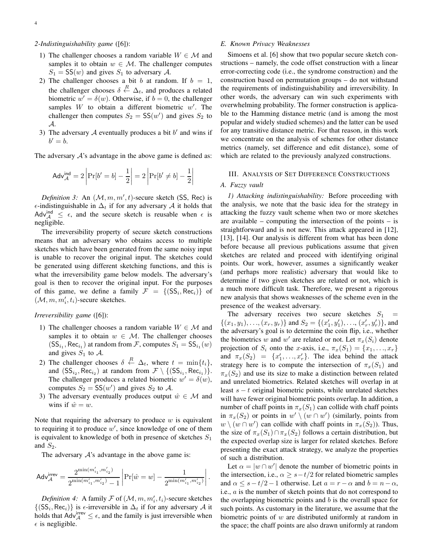#### *2-Indistinguishability game* ([6]):

- 1) The challenger chooses a random variable  $W \in \mathcal{M}$  and samples it to obtain  $w \in \mathcal{M}$ . The challenger computes  $S_1 = SS(w)$  and gives  $S_1$  to adversary A.
- 2) The challenger chooses a bit b at random. If  $b = 1$ , the challenger chooses  $\delta \stackrel{R}{\leftarrow} \Delta_t$ , and produces a related biometric  $w' = \delta(w)$ . Otherwise, if  $b = 0$ , the challenger samples  $W$  to obtain a different biometric  $w'$ . The challenger then computes  $S_2 = SS(w')$  and gives  $S_2$  to A.
- 3) The adversary  $A$  eventually produces a bit  $b'$  and wins if  $b'=b.$

The adversary  $A$ 's advantage in the above game is defined as:

$$
Adv_{\mathcal{A}}^{\text{ind}} = 2 \left| Pr[b' = b] - \frac{1}{2} \right| = 2 \left| Pr[b' \neq b] - \frac{1}{2} \right|
$$

*Definition 3:* An  $(M, m, m', t)$ -secure sketch (SS, Rec) is  $\epsilon$ -indistinguishable in  $\Delta_t$  if for any adversary A it holds that Adv<sup>ind</sup>  $\leq \epsilon$ , and the secure sketch is reusable when  $\epsilon$  is negligible.

The irreversibility property of secure sketch constructions means that an adversary who obtains access to multiple sketches which have been generated from the same noisy input is unable to recover the original input. The sketches could be generated using different sketching functions, and this is what the irreversibility game below models. The adversary's goal is then to recover the original input. For the purposes of this game, we define a family  $\mathcal{F} = \{(\mathsf{SS}_i, \mathsf{Rec}_i)\}\$  of  $(\mathcal{M}, m, m_i', t_i)$ -secure sketches.

*Irreversibility game* ([6]):

- 1) The challenger chooses a random variable  $W \in \mathcal{M}$  and samples it to obtain  $w \in \mathcal{M}$ . The challenger chooses  $(SS_{i_1}, Rec_{i_1})$  at random from F, computes  $S_1 = SS_{i_1}(w)$ and gives  $S_1$  to  $A$ .
- 2) The challenger chooses  $\delta \stackrel{R}{\leftarrow} \Delta_t$ , where  $t = \min\{t_i\}$ , and  $(SS_{i_2}, Rec_{i_2})$  at random from  $\mathcal{F} \setminus \{(SS_{i_1}, Rec_{i_1})\}.$ The challenger produces a related biometric  $w' = \delta(w)$ , computes  $S_2 = SS(w')$  and gives  $S_2$  to A.
- 3) The adversary eventually produces output  $\hat{w} \in \mathcal{M}$  and wins if  $\hat{w} = w$ .

Note that requiring the adversary to produce  $w$  is equivalent to requiring it to produce  $w'$ , since knowledge of one of them is equivalent to knowledge of both in presence of sketches  $S_1$ and  $S_2$ .

The adversary  $A$ 's advantage in the above game is:

$$
\mathsf{Adv}^{\mathsf{irrev}}_{\mathcal{A}} = \frac{2^{\min(m'_{i_1}, m'_{i_2})}}{2^{\min(m'_{i_1}, m'_{i_2})}-1} \left|\Pr[\hat{w} = w] - \frac{1}{2^{\min(m'_{i_1}, m'_{i_2})}}\right|.
$$

*Definition 4:* A family  $\mathcal F$  of  $(\mathcal M, m, m'_i, t_i)$ -secure sketches  $\{(\mathsf{SS}_i, \mathsf{Rec}_i)\}\$ is  $\epsilon$ -irreversible in  $\Delta_t$  if for any adversary A it holds that  $\text{Adv}_{\mathcal{A}}^{\text{irrev}} \leq \epsilon$ , and the family is just irreversible when  $\epsilon$  is negligible.

#### *E. Known Privacy Weaknesses*

Simoens et al. [6] show that two popular secure sketch constructions – namely, the code offset construction with a linear error-correcting code (i.e., the syndrome construction) and the construction based on permutation groups – do not withstand the requirements of indistinguishability and irreversibility. In other words, the adversary can win such experiments with overwhelming probability. The former construction is applicable to the Hamming distance metric (and is among the most popular and widely studied schemes) and the latter can be used for any transitive distance metric. For that reason, in this work we concentrate on the analysis of schemes for other distance metrics (namely, set difference and edit distance), some of which are related to the previously analyzed constructions.

## III. ANALYSIS OF SET DIFFERENCE CONSTRUCTIONS

## *A. Fuzzy vault*

*1) Attacking indistinguishability:* Before proceeding with the analysis, we note that the basic idea for the strategy in attacking the fuzzy vault scheme when two or more sketches are available – computing the intersection of the points – is straightforward and is not new. This attack appeared in [12], [13], [14]. Our analysis is different from what has been done before because all previous publications assume that given sketches are related and proceed with identifying original points. Our work, however, assumes a significantly weaker (and perhaps more realistic) adversary that would like to determine if two given sketches are related or not, which is a much more difficult task. Therefore, we present a rigorous new analysis that shows weaknesses of the scheme even in the presence of the weakest adversary.

The adversary receives two secure sketches  $S_1$  =  $\{(x_1, y_1), \ldots, (x_r, y_r)\}\$ and  $S_2 = \{(x'_1, y'_1), \ldots, (x'_r, y'_r)\}\$ , and the adversary's goal is to determine the coin flip, i.e., whether the biometrics w and w' are related or not. Let  $\pi_x(S_i)$  denote projection of  $S_i$  onto the x-axis, i.e.,  $\pi_x(S_1) = \{x_1, \ldots, x_r\}$ and  $\pi_x(S_2) = \{x'_1, \ldots, x'_r\}$ . The idea behind the attack strategy here is to compute the intersection of  $\pi_x(S_1)$  and  $\pi_x(S_2)$  and use its size to make a distinction between related and unrelated biometrics. Related sketches will overlap in at least  $s - t$  original biometric points, while unrelated sketches will have fewer original biometric points overlap. In addition, a number of chaff points in  $\pi_x(S_1)$  can collide with chaff points in  $\pi_x(S_2)$  or points in  $w' \setminus (w \cap w')$  (similarly, points from  $w \setminus (w \cap w')$  can collide with chaff points in  $\pi_x(S_2)$ ). Thus, the size of  $\pi_x(S_1) \cap \pi_x(S_2)$  follows a certain distribution, but the expected overlap size is larger for related sketches. Before presenting the exact attack strategy, we analyze the properties of such a distribution.

Let  $\alpha = |w \cap w'|$  denote the number of biometric points in the intersection, i.e.,  $\alpha \geq s - t/2$  for related biometric samples and  $\alpha \leq s - t/2 - 1$  otherwise. Let  $a = r - \alpha$  and  $b = n - \alpha$ , i.e., a is the number of sketch points that do not correspond to the overlapping biometric points and  $b$  is the overall space for such points. As customary in the literature, we assume that the biometric points of  $w$  are distributed uniformly at random in the space; the chaff points are also drawn uniformly at random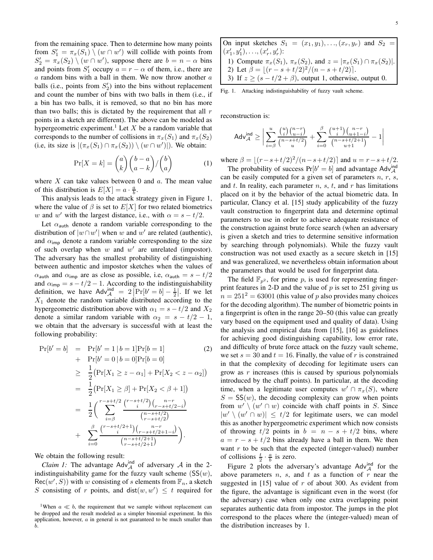from the remaining space. Then to determine how many points from  $S'_1 = \pi_x(S_1) \setminus (w \cap w')$  will collide with points from  $S'_2 = \pi_x(S_2) \setminus (w \cap w')$ , suppose there are  $b = n - \alpha$  bins and points from  $S'_1$  occupy  $a = r - \alpha$  of them, i.e., there are  $a$  random bins with a ball in them. We now throw another  $a$ balls (i.e., points from  $S'_2$ ) into the bins without replacement and count the number of bins with two balls in them (i.e., if a bin has two balls, it is removed, so that no bin has more than two balls; this is dictated by the requirement that all  $r$ points in a sketch are different). The above can be modeled as hypergeometric experiment.<sup>1</sup> Let  $X$  be a random variable that corresponds to the number of collisions in  $\pi_x(S_1)$  and  $\pi_x(S_2)$ (i.e, its size is  $|(\pi_x(S_1) \cap \pi_x(S_2)) \setminus (w \cap w')|$ ). We obtain:

$$
\Pr[X=k] = \binom{a}{k} \binom{b-a}{a-k} / \binom{b}{a} \tag{1}
$$

where  $X$  can take values between 0 and  $a$ . The mean value of this distribution is  $E[X] = a \cdot \frac{a}{b}$ .

This analysis leads to the attack strategy given in Figure 1, where the value of  $\beta$  is set to  $E[X]$  for two related biometrics w and w' with the largest distance, i.e., with  $\alpha = s - t/2$ .

Let  $\alpha_{\text{auth}}$  denote a random variable corresponding to the distribution of  $|w \cap w'|$  when w and w' are related (authentic), and  $\alpha_{\text{imp}}$  denote a random variable corresponding to the size of such overlap when  $w$  and  $w'$  are unrelated (impostor). The adversary has the smallest probability of distinguishing between authentic and impostor sketches when the values of  $\alpha_{\text{auth}}$  and  $\alpha_{\text{imp}}$  are as close as possible, i.e,  $\alpha_{\text{auth}} = s - t/2$ and  $\alpha_{\text{imp}} = s - t/2 - 1$ . According to the indistinguishability definition, we have  $\text{Adv}_{\mathcal{A}}^{\text{ind}} = 2 \left| \Pr[b' = b] - \frac{1}{2} \right|$ . If we let  $X_1$  denote the random variable distributed according to the hypergeometric distribution above with  $\alpha_1 = s - t/2$  and  $X_2$ denote a similar random variable with  $\alpha_2 = s - t/2 - 1$ , we obtain that the adversary is successful with at least the following probability:

$$
\Pr[b' = b] = \Pr[b' = 1 | b = 1] \Pr[b = 1] \tag{2}
$$
\n
$$
+ \Pr[b' = 0 | b = 0] \Pr[b = 0]
$$
\n
$$
\geq \frac{1}{2} (\Pr[X_1 \geq z - \alpha_1] + \Pr[X_2 < z - \alpha_2])
$$
\n
$$
= \frac{1}{2} (\Pr[X_1 \geq \beta] + \Pr[X_2 < \beta + 1])
$$
\n
$$
= \frac{1}{2} \left( \sum_{i=\beta}^{r-s+t/2} \frac{\binom{r-s+t/2}{i} \binom{n-r}{r-s+t/2-i}}{\binom{n-s+t/2}{r-s+t/2}} + \sum_{i=0}^{\beta} \frac{\binom{r-s+t/2+1}{i} \binom{n-r}{r-s+t/2+1-i}}{\binom{n-s+t/2+1}{r-s+t/2+1}} \right).
$$
\n(2)

We obtain the following result:

*Claim 1:* The advantage  $\text{Adv}_{\mathcal{A}}^{\text{ind}}$  of adversary  $\mathcal{A}$  in the 2indistinguishability game for the fuzzy vault scheme  $SS(w)$ ,  $Rec(w', S))$  with w consisting of s elements from  $\mathbb{F}_n$ , a sketch S consisting of r points, and  $dist(w, w') \leq t$  required for

On input sketches 
$$
S_1 = (x_1, y_1), \ldots, (x_r, y_r)
$$
 and  $S_2 = (x'_1, y'_1), \ldots, (x'_r, y'_r)$ :\n1) Compute  $\pi_x(S_1)$ ,  $\pi_x(S_2)$ , and  $z = |\pi_x(S_1) \cap \pi_x(S_2)|$ .\n2) Let  $\beta = \lfloor (r - s + t/2)^2 / (n - s + t/2) \rfloor$ .\n3) If  $z \geq (s - t/2 + \beta)$ , output 1, otherwise, output 0.

Fig. 1. Attacking indistinguishability of fuzzy vault scheme.

reconstruction is:

$$
\mathsf{Adv}_{\mathcal{A}}^{\mathsf{ind}} \ge \bigg| \sum_{i=\beta}^{u} \frac{\binom{u}{i} \binom{n-r}{u-i}}{\binom{n-s+t/2}{u}} + \sum_{i=0}^{\beta} \frac{\binom{u+1}{i} \binom{n-r}{u+1-i}}{\binom{n-s+t/2+1}{u+1}} - 1 \bigg|
$$

where  $\beta = \frac{(r-s+t/2)^2}{(n-s+t/2)}$  and  $u = r-s+t/2$ .

The probability of success  $Pr[b' = b]$  and advantage Adv<sup>ind</sup> can be easily computed for a given set of parameters  $n, r, s$ , and  $t$ . In reality, each parameter  $n$ ,  $s$ ,  $t$ , and  $r$  has limitations placed on it by the behavior of the actual biometric data. In particular, Clancy et al. [15] study applicability of the fuzzy vault construction to fingerprint data and determine optimal parameters to use in order to achieve adequate resistance of the construction against brute force search (when an adversary is given a sketch and tries to determine sensitive information by searching through polynomials). While the fuzzy vault construction was not used exactly as a secure sketch in [15] and was generalized, we nevertheless obtain information about the parameters that would be used for fingerprint data.

The field  $\mathbb{F}_{n^2}$ , for prime p, is used for representing fingerprint features in 2-D and the value of  $p$  is set to 251 giving us  $n = 251<sup>2</sup> = 63001$  (this value of p also provides many choices for the decoding algorithm). The number of biometric points in a fingerprint is often in the range 20–50 (this value can greatly vary based on the equipment used and quality of data). Using the analysis and empirical data from [15], [16] as guidelines for achieving good distinguishing capability, low error rate, and difficulty of brute force attack on the fuzzy vault scheme, we set  $s = 30$  and  $t = 16$ . Finally, the value of r is constrained in that the complexity of decoding for legitimate users can grow as  $r$  increases (this is caused by spurious polynomials introduced by the chaff points). In particular, at the decoding time, when a legitimate user computes  $w' \cap \pi_x(S)$ , where  $S = SS(w)$ , the decoding complexity can grow when points from  $w' \setminus (w' \cap w)$  coincide with chaff points in S. Since  $|w' \setminus (w' \cap w)| \leq t/2$  for legitimate users, we can model this as another hypergeometric experiment which now consists of throwing  $t/2$  points in  $b = n - s + t/2$  bins, where  $a = r - s + t/2$  bins already have a ball in them. We then want  $r$  to be such that the expected (integer-valued) number of collisions  $\frac{t}{2} \cdot \frac{a}{b}$  is zero.

Figure 2 plots the adversary's advantage  $\text{Adv}_{\mathcal{A}}^{\text{ind}}$  for the above parameters  $n$ ,  $s$ , and  $t$  as a function of  $r$  near the suggested in [15] value of  $r$  of about 300. As evident from the figure, the advantage is significant even in the worst (for the adversary) case when only one extra overlapping point separates authentic data from impostor. The jumps in the plot correspond to the places where the (integer-valued) mean of the distribution increases by 1.

<sup>&</sup>lt;sup>1</sup>When  $a \ll b$ , the requirement that we sample without replacement can be dropped and the result modeled as a simpler binomial experiment. In this application, however,  $a$  in general is not guaranteed to be much smaller than b.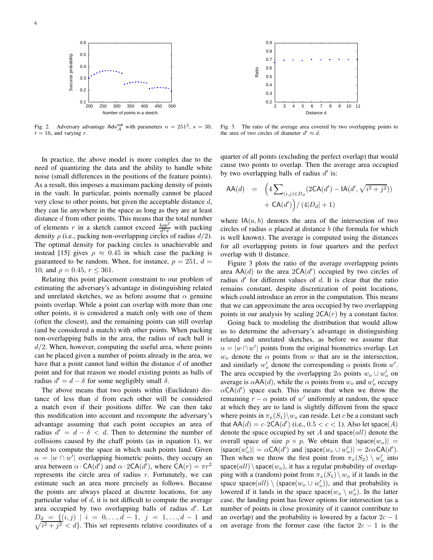

Fig. 2. Adversary advantage Adv<sup>ind</sup> with parameters  $n = 251^2$ ,  $s = 30$ ,  $t = 16$ , and varying r.

In practice, the above model is more complex due to the need of quantizing the data and the ability to handle white noise (small differences in the positions of the feature points). As a result, this imposes a maximum packing density of points in the vault. In particular, points normally cannot be placed very close to other points, but given the acceptable distance d, they can lie anywhere in the space as long as they are at least distance  $d$  from other points. This means that the total number of elements r in a sketch cannot exceed  $\frac{4\rho p^2}{d^2\pi}$  with packing density  $\rho$  (i.e., packing non-overlapping circles of radius  $d/2$ ). The optimal density for packing circles is unachievable and instead [15] gives  $\rho \approx 0.45$  in which case the packing is guaranteed to be random. When, for instance,  $p = 251$ ,  $d =$ 10, and  $\rho = 0.45$ ,  $r \leq 361$ .

Relating this point placement constraint to our problem of estimating the adversary's advantage in distinguishing related and unrelated sketches, we as before assume that  $\alpha$  genuine points overlap. While a point can overlap with more than one other points, it is considered a match only with one of them (often the closest), and the remaining points can still overlap (and be considered a match) with other points. When packing non-overlapping balls in the area, the radius of each ball is  $d/2$ . When, however, computing the useful area, where points can be placed given a number of points already in the area, we have that a point cannot land within the distance d of another point and for that reason we model existing points as balls of radius  $d' = d - \delta$  for some negligibly small  $\delta$ .

The above means that two points within (Euclidean) distance of less than  $d$  from each other will be considered a match even if their positions differ. We can then take this modification into account and recompute the adversary's advantage assuming that each point occupies an area of radius  $d' = d - \delta < d$ . Then to determine the number of collisions caused by the chaff points (as in equation 1), we need to compute the space in which such points land. Given  $\alpha = |w \cap w'|$  overlapping biometric points, they occupy an area between  $\alpha \cdot CA(d')$  and  $\alpha \cdot 2CA(d')$ , where  $CA(r) = \pi r^2$ represents the circle area of radius  $r$ . Fortunately, we can estimate such an area more precisely as follows. Because the points are always placed at discrete locations, for any particular value of  $d$ , it is not difficult to compute the average area occupied by two overlapping balls of radius  $d'$ . Let  $D_d = \{ (i, j) \mid i = 0, \ldots, d - 1, j = 1, \ldots, d - 1 \text{ and }$  $\sqrt{i^2 + j^2} < d$ . This set represents relative coordinates of a



Fig. 3. The ratio of the average area covered by two overlapping points to the area of two circles of diameter  $d' \approx d$ .

quarter of all points (excluding the perfect overlap) that would cause two points to overlap. Then the average area occupied by two overlapping balls of radius  $d'$  is:

$$
\mathsf{AA}(d) = \left(4 \sum_{(i,j) \in D_d} (2\mathsf{CA}(d') - \mathsf{IA}(d', \sqrt{i^2 + j^2})) + \mathsf{CA}(d')\right) / (4|D_d| + 1)
$$

where  $A(a, b)$  denotes the area of the intersection of two circles of radius  $a$  placed at distance  $b$  (the formula for which is well known). The average is computed using the distances for all overlapping points in four quarters and the perfect overlap with 0 distance.

Figure 3 plots the ratio of the average overlapping points area  $AA(d)$  to the area  $2CA(d')$  occupied by two circles of radius  $d'$  for different values of  $d$ . It is clear that the ratio remains constant, despite discretization of point locations, which could introduce an error in the computation. This means that we can approximate the area occupied by two overlapping points in our analysis by scaling  $2CA(r)$  by a constant factor.

Going back to modeling the distribution that would allow us to determine the adversary's advantage in distinguishing related and unrelated sketches, as before we assume that  $\alpha = |w \cap w'|$  points from the original biometrics overlap. Let  $w<sub>o</sub>$  denote the  $\alpha$  points from w that are in the intersection, and similarly  $w'_o$  denote the corresponding  $\alpha$  points from  $w'$ . The area occupied by the overlapping  $2\alpha$  points  $w_0 \cup w'_0$  on average is  $\alpha$ AA(*d*), while the  $\alpha$  points from  $w_o$  and  $w'_o$  occupy  $\alpha$ CA(d') space each. This means that when we throw the remaining  $r - \alpha$  points of w' uniformly at random, the space at which they are to land is slightly different from the space where points in  $\pi_x(S_1)\setminus w_o$  can reside. Let c be a constant such that  $AA(d) = c \cdot 2CA(d')$  (i.e.,  $0.5 < c < 1$ ). Also let space $(A)$ denote the space occupied by set A and space(all) denote the overall space of size  $p \times p$ . We obtain that  $|space(w_0)| =$  $|\textsf{space}(w_o')| = \alpha \textsf{CA}(d')$  and  $|\textsf{space}(w_o \cup w_o')| = 2c\alpha \textsf{CA}(d').$ Then when we throw the first point from  $\pi_x(S_2) \setminus w'_o$  into space(all) \ space( $w_o$ ), it has a regular probability of overlapping with a (random) point from  $\pi_x(S_1) \setminus w_o$  if it lands in the space space(all) \ (space( $w_o \cup w'_o$ )), and that probability is lowered if it lands in the space space $(w_0 \setminus w'_0)$ . In the latter case, the landing point has fewer options for intersection (as a number of points in close proximity of it cannot contribute to an overlap) and the probability is lowered by a factor  $2c - 1$ on average from the former case (the factor  $2c - 1$  is the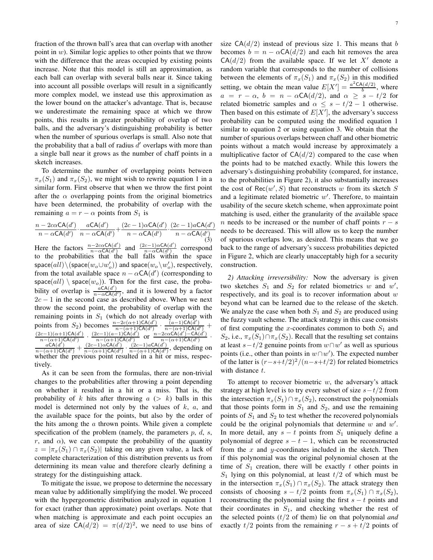fraction of the thrown ball's area that can overlap with another point in  $w$ ). Similar logic applies to other points that we throw with the difference that the areas occupied by existing points increase. Note that this model is still an approximation, as each ball can overlap with several balls near it. Since taking into account all possible overlaps will result in a significantly more complex model, we instead use this approximation as the lower bound on the attacker's advantage. That is, because we underestimate the remaining space at which we throw points, this results in greater probability of overlap of two balls, and the adversary's distinguishing probability is better when the number of spurious overlaps is small. Also note that the probability that a ball of radius  $d'$  overlaps with more than a single ball near it grows as the number of chaff points in a sketch increases.

To determine the number of overlapping points between  $\pi_x(S_1)$  and  $\pi_x(S_2)$ , we might wish to rewrite equation 1 in a similar form. First observe that when we throw the first point after the  $\alpha$  overlapping points from the original biometrics have been determined, the probability of overlap with the remaining  $a = r - \alpha$  points from  $S_1$  is

$$
\frac{n-2c\alpha{\rm CA}(d')}{n-\alpha{\rm CA}(d')}\cdot\frac{a{\rm CA}(d')}{n-\alpha{\rm CA}(d')}+\frac{(2c-1)\alpha{\rm CA}(d')}{n-\alpha{\rm CA}(d')}\cdot\frac{(2c-1)a{\rm CA}(d')}{n-\alpha{\rm CA}(d')}
$$

(3) Here the factors  $\frac{n-2c\alpha C A(d')}{n-\alpha C A(d')}$  and  $\frac{(2c-1)\alpha C A(d')}{n-\alpha C A(d')}$  correspond to the probabilities that the ball falls within the space  $\mathsf{space}(all) \backslash (\mathsf{space}(w_o \cup w'_o))$  and  $\mathsf{space}(w_o \backslash w'_o)$ , respectively, from the total available space  $n - \alpha C A(d')$  (corresponding to space(all)  $\setminus$  space(w<sub>o</sub>)). Then for the first case, the probability of overlap is  $\frac{aCA(d')}{n-\alpha CA(d')}$ , and it is lowered by a factor  $2c - 1$  in the second case as described above. When we next throw the second point, the probability of overlap with the remaining points in  $S_1$  (which do not already overlap with points from  $S_2$ ) becomes  $\frac{n-2c(\alpha+1)CA(d')}{n-(\alpha+1)CA(d')} \cdot \frac{(a-1)CA(d')}{n-(\alpha+1)CA(d')}$ points from S<sub>2</sub>) becomes  $\frac{n - 2c(\alpha+1)CA(d')}{n-(\alpha+1)CA(d')}$   $\cdot \frac{(a-1)CA(d')}{n-(\alpha+1)CA(d')}$   $\cdot \frac{(2c-1)(a-1)CA(d')}{n-(\alpha+1)CA(d')}$  or  $\frac{n-2c\alpha CA(d')-CA(d')}{n-(\alpha+1)CA(d')}$  ·  $\frac{aCA(d')}{n-(\alpha+1)CA(d')} + \frac{(2c-1)\alpha CA(d')}{n-(\alpha+1)CA(d')} \cdot \frac{(2c-1)aCA(d')}{n-(\alpha+1)CA(d')}, \text{ depending on}$ whether the previous point resulted in a hit or miss, respectively.

As it can be seen from the formulas, there are non-trivial changes to the probabilities after throwing a point depending on whether it resulted in a hit or a miss. That is, the probability of k hits after throwing  $a > k$ ) balls in this model is determined not only by the values of  $k$ ,  $a$ , and the available space for the points, but also by the order of the hits among the  $a$  thrown points. While given a complete specification of the problem (namely, the parameters  $p, d, s$ , r, and  $\alpha$ ), we can compute the probability of the quantity  $z = |\pi_x(S_1) \cap \pi_x(S_2)|$  taking on any given value, a lack of complete characterization of this distribution prevents us from determining its mean value and therefore clearly defining a strategy for the distinguishing attack.

To mitigate the issue, we propose to determine the necessary mean value by additionally simplifying the model. We proceed with the hypergeometric distribution analyzed in equation 1 for exact (rather than approximate) point overlaps. Note that when matching is approximate and each point occupies an area of size  $CA(d/2) = \pi(d/2)^2$ , we need to use bins of size  $CA(d/2)$  instead of previous size 1. This means that b becomes  $b = n - \alpha C A(d/2)$  and each hit removes the area  $CA(d/2)$  from the available space. If we let X' denote a random variable that corresponds to the number of collisions between the elements of  $\pi_x(S_1)$  and  $\pi_x(S_2)$  in this modified setting, we obtain the mean value  $E[X'] = \frac{a^2CA(d/2)}{b}$  $\frac{b^{(a/2)}}{b}$ , where  $a = r - \alpha$ ,  $b = n - \alpha \mathsf{CA}(d/2)$ , and  $\alpha \geq s - t/2$  for related biometric samples and  $\alpha \leq s - t/2 - 1$  otherwise. Then based on this estimate of  $E[X']$ , the adversary's success probability can be computed using the modified equation 1 similar to equation 2 or using equation 3. We obtain that the number of spurious overlaps between chaff and other biometric points without a match would increase by approximately a multiplicative factor of  $CA(d/2)$  compared to the case when the points had to be matched exactly. While this lowers the adversary's distinguishing probability (compared, for instance, to the probabilities in Figure 2), it also substantially increases the cost of Rec $(w', S)$  that reconstructs w from its sketch S and a legitimate related biometric  $w'$ . Therefore, to maintain usability of the secure sketch scheme, when approximate point matching is used, either the granularity of the available space n needs to be increased or the number of chaff points  $r - s$ needs to be decreased. This will allow us to keep the number of spurious overlaps low, as desired. This means that we go back to the range of adversary's success probabilities depicted in Figure 2, which are clearly unacceptably high for a security construction.

*2) Attacking irreversibility:* Now the adversary is given two sketches  $S_1$  and  $S_2$  for related biometrics w and w', respectively, and its goal is to recover information about  $w$ beyond what can be learned due to the release of the sketch. We analyze the case when both  $S_1$  and  $S_2$  are produced using the fuzzy vault scheme. The attack strategy in this case consists of first computing the x-coordinates common to both  $S_1$  and S<sub>2</sub>, i.e.,  $\pi_x(S_1) \cap \pi_x(S_2)$ . Recall that the resulting set contains at least  $s - t/2$  genuine points from  $w \cap w'$  as well as spurious points (i.e., other than points in  $w \cap w'$ ). The expected number of the latter is  $(r-s+t/2)^2/(n-s+t/2)$  for related biometrics with distance  $t$ .

To attempt to recover biometric  $w$ , the adversary's attack strategy at high level is to try every subset of size  $s-t/2$  from the intersection  $\pi_x(S_1) \cap \pi_x(S_2)$ , reconstruct the polynomials that those points form in  $S_1$  and  $S_2$ , and use the remaining points of  $S_1$  and  $S_2$  to test whether the recovered polynomials could be the original polynomials that determine  $w$  and  $w'$ . In more detail, any  $s - t$  points from  $S_1$  uniquely define a polynomial of degree  $s - t - 1$ , which can be reconstructed from the x and y-coordinates included in the sketch. Then if this polynomial was the original polynomial chosen at the time of  $S_1$  creation, there will be exactly t other points in  $S_1$  lying on this polynomial, at least  $t/2$  of which must be in the intersection  $\pi_x(S_1) \cap \pi_x(S_2)$ . The attack strategy then consists of choosing  $s - t/2$  points from  $\pi_x(S_1) \cap \pi_x(S_2)$ , reconstructing the polynomial using the first  $s - t$  points and their coordinates in  $S_1$ , and checking whether the rest of the selected points (t/2 of them) lie on that polynomial *and* exactly  $t/2$  points from the remaining  $r - s + t/2$  points of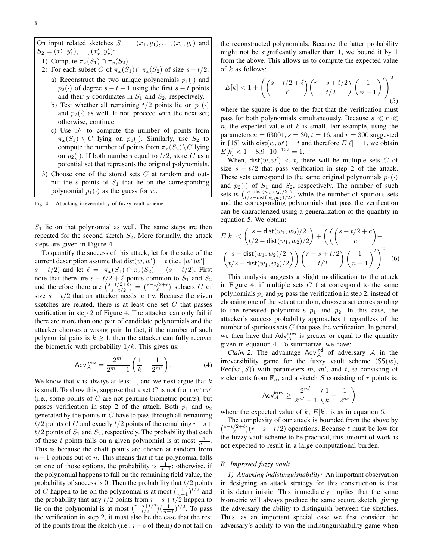On input related sketches  $S_1 = (x_1, y_1), \ldots, (x_r, y_r)$  and  $S_2 = (x'_1, y'_1), \ldots, (x'_r, y'_r)$ :

- 1) Compute  $\pi_x(S_1) \cap \pi_x(S_2)$ .
- 2) For each subset C of  $\pi_x(S_1) \cap \pi_x(S_2)$  of size  $s t/2$ : a) Reconstruct the two unique polynomials  $p_1(\cdot)$  and  $p_2(\cdot)$  of degree  $s - t - 1$  using the first  $s - t$  points and their y-coordinates in  $S_1$  and  $S_2$ , respectively.
	- b) Test whether all remaining  $t/2$  points lie on  $p_1(\cdot)$ and  $p_2(\cdot)$  as well. If not, proceed with the next set; otherwise, continue.
	- c) Use  $S_1$  to compute the number of points from  $\pi_x(S_1) \setminus C$  lying on  $p_1(\cdot)$ . Similarly, use  $S_2$  to compute the number of points from  $\pi_x(S_2) \setminus C$  lying on  $p_2(\cdot)$ . If both numbers equal to  $t/2$ , store C as a potential set that represents the original polynomials.
- 3) Choose one of the stored sets  $C$  at random and output the s points of  $S_1$  that lie on the corresponding polynomial  $p_1(\cdot)$  as the guess for w.



 $S_1$  lie on that polynomial as well. The same steps are then repeated for the second sketch  $S_2$ . More formally, the attack steps are given in Figure 4.

To quantify the success of this attack, let for the sake of the current description assume that dist $(w, w') = t$  (i.e.,  $|w \cap w'| =$ s – t/2) and let  $\ell = |\pi_x(S_1) \cap \pi_x(S_2)| - (s - t/2)$ . First note that there are  $s - t/2 + \ell$  points common to  $S_1$  and  $S_2$ and therefore there are  $\binom{s-t/2+\ell}{s-t/2}$  $\binom{-t/2+\ell}{s-t/2} = \binom{s-t/2+\ell}{\ell}$  subsets C of size  $s - t/2$  that an attacker needs to try. Because the given sketches are related, there is at least one set  $C$  that passes verification in step 2 of Figure 4. The attacker can only fail if there are more than one pair of candidate polynomials and the attacker chooses a wrong pair. In fact, if the number of such polynomial pairs is  $k \geq 1$ , then the attacker can fully recover the biometric with probability  $1/k$ . This gives us:

$$
Adv_{\mathcal{A}}^{\text{irrev}} = \frac{2^{m'}}{2^{m'} - 1} \left( \frac{1}{k} - \frac{1}{2^{m'}} \right). \tag{4}
$$

We know that  $k$  is always at least 1, and we next argue that  $k$ is small. To show this, suppose that a set C is not from  $w \cap w'$ (i.e., some points of  $C$  are not genuine biometric points), but passes verification in step 2 of the attack. Both  $p_1$  and  $p_2$ generated by the points in  $C$  have to pass through all remaining  $t/2$  points of C and exactly  $t/2$  points of the remaining  $r-s+$  $t/2$  points of  $S_1$  and  $S_2$ , respectively. The probability that each of these t points falls on a given polynomial is at most  $\frac{1}{n-1}$ . This is because the chaff points are chosen at random from  $n-1$  options out of n. This means that if the polynomial falls on one of those options, the probability is  $\frac{1}{n-1}$ ; otherwise, if the polynomial happens to fall on the remaining field value, the probability of success is 0. Then the probability that  $t/2$  points of C happen to lie on the polynomial is at most  $\left(\frac{1}{n-1}\right)^{t/2}$  and the probability that any  $t/2$  points from  $r - s + t/2$  happen to lie on the polynomial is at most  $\binom{r-s+t/2}{t/2}$  $\frac{s+t/2}{t/2}$  $\left(\frac{1}{n-1}\right)^{t/2}$ . To pass the verification in step 2, it must also be the case that the rest of the points from the sketch (i.e., r−s of them) do not fall on

the reconstructed polynomials. Because the latter probability might not be significantly smaller than 1, we bound it by 1 from the above. This allows us to compute the expected value of  $k$  as follows:

$$
E[k] < 1 + \left( \binom{s - t/2 + \ell}{\ell} \binom{r - s + t/2}{t/2} \left( \frac{1}{n - 1} \right)^t \right)^2 \tag{5}
$$

where the square is due to the fact that the verification must pass for both polynomials simultaneously. Because  $s \ll r \ll$ n, the expected value of  $k$  is small. For example, using the parameters  $n = 63001$ ,  $s = 30$ ,  $t = 16$ , and  $r = 300$  suggested in [15] with dist $(w, w') = t$  and therefore  $E[\ell] = 1$ , we obtain  $E[k] < 1 + 8.9 \cdot 10^{-122} = 1.$ 

When, dist $(w, w') < t$ , there will be multiple sets C of size  $s - t/2$  that pass verification in step 2 of the attack. These sets correspond to the same original polynomials  $p_1(\cdot)$ and  $p_2(\cdot)$  of  $S_1$  and  $S_2$ , respectively. The number of such sets is  $\binom{s-\text{dist}(w_1,w_2)/2}{\frac{s-\text{dist}(w_1,w_2)}{2}}$  $t/2$ –dist $(w_1, w_2)/2$ , while the number of spurious sets and the corresponding polynomials that pass the verification can be characterized using a generalization of the quantity in equation 5. We obtain:

$$
E[k] < \binom{s - \text{dist}(w_1, w_2)/2}{t/2 - \text{dist}(w_1, w_2)/2} + \left( \binom{s - t/2 + c}{c} - \binom{s - \text{dist}(w_1, w_2)/2}{t/2 - \text{dist}(w_1, w_2)/2} \right) \left( \frac{r - s + t/2}{t/2} \right) \left( \frac{1}{n - 1} \right)^t \right)^2 \tag{6}
$$

This analysis suggests a slight modification to the attack in Figure 4: if multiple sets  $C$  that correspond to the same polynomials  $p_1$  and  $p_2$  pass the verification in step 2, instead of choosing one of the sets at random, choose a set corresponding to the repeated polynomials  $p_1$  and  $p_2$ . In this case, the attacker's success probability approaches 1 regardless of the number of spurious sets  $C$  that pass the verification. In general, we then have that  $\mathsf{Adv}_{\mathcal{A}}^{\mathsf{irrev}}$  is greater or equal to the quantity given in equation 4. To summarize, we have:

*Claim* 2: The advantage  $\text{Adv}_{\mathcal{A}}^{\text{ind}}$  of adversary  $\mathcal{A}$  in the irreversibility game for the fuzzy vault scheme  $(SS(w),$  $Rec(w', S)$  with parameters m, m', and t, w consisting of s elements from  $\mathbb{F}_n$ , and a sketch S consisting of r points is:

$$
\mathsf{Adv}_{\mathcal{A}}^{\mathsf{irrev}} \geq \frac{2^{m'}}{2^{m'}-1} \left(\frac{1}{k} - \frac{1}{2^{m'}} \right)
$$

where the expected value of k,  $E[k]$ , is as in equation 6.

The complexity of our attack is bounded from the above by  $\binom{s-t/2+\ell}{\ell}(r-s+t/2)$  operations. Because  $\ell$  must be low for the fuzzy vault scheme to be practical, this amount of work is not expected to result in a large computational burden.

#### *B. Improved fuzzy vault*

*1) Attacking indistinguishability:* An important observation in designing an attack strategy for this construction is that it is deterministic. This immediately implies that the same biometric will always produce the same secure sketch, giving the adversary the ability to distinguish between the sketches. Thus, as an important special case we first consider the adversary's ability to win the indistinguishability game when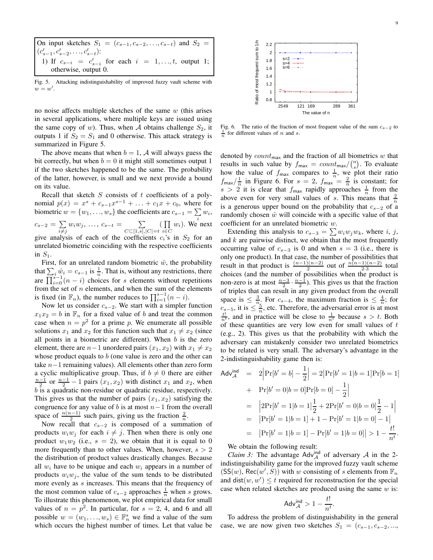On input sketches 
$$
S_1 = (c_{s-1}, c_{s-2}, \ldots, c_{s-t})
$$
 and  $S_2 = (c'_{s-1}, c'_{s-2}, \ldots, c'_{s-t})$ :\n1) If  $c_{s-i} = c'_{s-i}$  for each  $i = 1, \ldots, t$ , output 1; otherwise, output 0.

Fig. 5. Attacking indistinguishability of improved fuzzy vault scheme with  $w = w'.$ 

no noise affects multiple sketches of the same  $w$  (this arises in several applications, where multiple keys are issued using the same copy of w). Thus, when A obtains challenge  $S_2$ , it outputs 1 if  $S_2 = S_1$  and 0 otherwise. This attack strategy is summarized in Figure 5.

The above means that when  $b = 1$ , A will always guess the bit correctly, but when  $b = 0$  it might still sometimes output 1 if the two sketches happened to be the same. The probability of the latter, however, is small and we next provide a bound on its value.

Recall that sketch  $S$  consists of  $t$  coefficients of a polynomial  $p(x) = x^{s} + c_{s-1}x^{s-1} + \ldots + c_1x + c_0$ , where for biometric  $w = \{w_1, \ldots, w_s\}$  the coefficients are  $c_{s-1} = \sum w_i$ ,  $c_{s-2} = \sum w_i w_j, \dots, c_{s-t} = \sum (\prod w_i).$  We  $\sum_{i \neq j} w_i w_j, \ldots, c_{s-t} = \sum_{C \subset [1, s],}$  $C\subset [1,s],|C| = t$  $\left(\prod\right)$  $\prod_{i\in C} w_i$ ). We next give analysis of each of the coefficients  $c_i$ 's in  $S_2$  for an unrelated biometric coinciding with the respective coefficients in  $S_1$ .

First, for an unrelated random biometric  $\hat{w}$ , the probability that  $\sum_i \hat{w}_i = c_{s-1}$  is  $\frac{1}{n}$ . That is, without any restrictions, there are  $\prod_{i=0}^{s-1} (n-i)$  choices for s elements without repetitions from the set of  $n$  elements, and when the sum of the elements is fixed (in  $\mathbb{F}_n$ ), the number reduces to  $\prod_{i=1}^{s-1} (n-i)$ .

Now let us consider  $c_{s-2}$ . We start with a simpler function  $x_1x_2 = b$  in  $\mathbb{F}_n$  for a fixed value of b and treat the common case when  $n = p^2$  for a prime p. We enumerate all possible solutions  $x_1$  and  $x_2$  for this function such that  $x_1 \neq x_2$  (since all points in a biometric are different). When  $b$  is the zero element, there are  $n-1$  unordered pairs  $(x_1, x_2)$  with  $x_1 \neq x_2$ whose product equals to  $b$  (one value is zero and the other can take  $n-1$  remaining values). All elements other than zero form a cyclic multiplicative group. Thus, if  $b \neq 0$  there are either  $\frac{n-1}{2}$  or  $\frac{n-1}{2}$  – 1 pairs  $(x_1, x_2)$  with distinct  $x_1$  and  $x_2$ , when  $b$  is a quadratic non-residue or quadratic residue, respectively. This gives us that the number of pairs  $(x_1, x_2)$  satisfying the congruence for any value of b is at most  $n-1$  from the overall space of  $\frac{n(n-1)}{2}$  such pairs, giving us the fraction  $\frac{2}{n}$ .

Now recall that  $c_{s-2}$  is composed of a summation of products  $w_i w_j$  for each  $i \neq j$ . Then when there is only one product  $w_1w_2$  (i.e.,  $s = 2$ ), we obtain that it is equal to 0 more frequently than to other values. When, however,  $s > 2$ the distribution of product values drastically changes. Because all  $w_i$  have to be unique and each  $w_i$  appears in a number of products  $w_i w_j$ , the value of the sum tends to be distributed more evenly as s increases. This means that the frequency of the most common value of  $c_{s-2}$  approaches  $\frac{1}{n}$  when s grows. To illustrate this phenomenon, we plot empirical data for small values of  $n = p^2$ . In particular, for  $s = 2, 4$ , and 6 and all possible  $w = (w_1, \ldots, w_s) \in \mathbb{F}_n^s$  we find a value of the sum which occurs the highest number of times. Let that value be



Fig. 6. The ratio of the fraction of most frequent value of the sum  $c_{s-2}$  to  $\frac{1}{n}$  for different values of *n* and *s*.

denoted by  $count_{\text{max}}$  and the fraction of all biometrics w that results in such value by  $f_{\text{max}} = count_{\text{max}} / {n \choose s}$ . To evaluate how the value of  $f_{\text{max}}$  compares to  $\frac{1}{n}$ , we plot their ratio  $f_{\text{max}}/\frac{1}{n}$  in Figure 6. For  $s = 2$ ,  $f_{\text{max}} = \frac{2}{n}$  is constant; for  $s > 2$  it is clear that  $f_{\text{max}}$  rapidly approaches  $\frac{1}{n}$  from the above even for very small values of s. This means that  $\frac{2}{n}$ is a generous upper bound on the probability that  $c_{s-2}$  of a randomly chosen  $\hat{w}$  will coincide with a specific value of that coefficient for an unrelated biometric w.

Extending this analysis to  $c_{s-3} = \sum w_i w_j w_k$ , where i, j, and  $k$  are pairwise distinct, we obtain that the most frequently occurring value of  $c_{s-3}$  is 0 and when  $s = 3$  (i.e., there is only one product). In that case, the number of possibilities that result in that product is  $\frac{(n-1)(n-2)}{2}$  out of  $\frac{n(n-1)(n-2)}{2 \cdot 3}$  total choices (and the number of possibilities when the product is non-zero is at most  $\frac{n-3}{2} \cdot \frac{n-1}{2}$ ). This gives us that the fraction of triples that can result in any given product from the overall space is  $\leq \frac{3}{n}$ . For  $c_{s-4}$ , the maximum fraction is  $\leq \frac{4}{n}$ ; for  $c_{s-5}$ , it is  $\leq \frac{5}{n}$ , etc. Therefore, the adversarial error is at most  $\frac{t!}{n^t}$ , and in practice will be close to  $\frac{1}{n^t}$  because  $s > t$ . Both of these quantities are very low even for small values of  $t$ (e.g., 2). This gives us that the probability with which the adversary can mistakenly consider two unrelated biometrics to be related is very small. The adversary's advantage in the 2-indistinguishability game then is:

$$
\begin{aligned}\n\text{Adv}_{\mathcal{A}}^{\text{ind}} &= 2 \left| \Pr[b' = b] - \frac{1}{2} \right| = 2 \left| \Pr[b' = 1 | b = 1] \Pr[b = 1] \right. \\
&\quad + \Pr[b' = 0 | b = 0] \Pr[b = 0] - \frac{1}{2} \left| \\
&= \left| 2\Pr[b' = 1 | b = 1] \frac{1}{2} + 2\Pr[b' = 0 | b = 0] \frac{1}{2} - 1 \right| \\
&= \left| \Pr[b' = 1 | b = 1] + 1 - \Pr[b' = 1 | b = 0] - 1 \right| \\
&= \left| \Pr[b' = 1 | b = 1] - \Pr[b' = 1 | b = 0] \right| > 1 - \frac{t!}{n^t}.\n\end{aligned}
$$

We obtain the following result:

*Claim 3:* The advantage  $\text{Adv}_{\mathcal{A}}^{\text{ind}}$  of adversary  $\mathcal{A}$  in the 2indistinguishability game for the improved fuzzy vault scheme  $(SS(w), Rec(w', S))$  with w consisting of s elements from  $\mathbb{F}_n$ and dist $(w, w') \leq t$  required for reconstruction for the special case when related sketches are produced using the same  $w$  is:

$$
\mathsf{Adv}_{\mathcal{A}}^{\mathsf{ind}} > 1 - \frac{t!}{n^t}.
$$

To address the problem of distinguishability in the general case, we are now given two sketches  $S_1 = (c_{s-1}, c_{s-2}, \ldots, c_{s-1}, c_{s-2}, \ldots, c_{s-2})$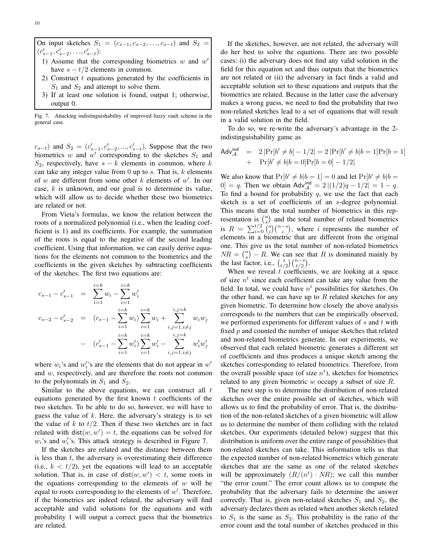- 1) Assume that the corresponding biometrics  $w$  and  $w'$ have  $s - t/2$  elements in common.
- 2) Construct  $t$  equations generated by the coefficients in  $S_1$  and  $S_2$  and attempt to solve them.
- 3) If at least one solution is found, output 1; otherwise, output 0.

Fig. 7. Attacking indistinguishability of improved fuzzy vault scheme in the general case.

 $(c_{s-t})$  and  $S_2 = (c'_{s-1}, c'_{s-2}, ..., c'_{s-t})$ . Suppose that the two biometrics w and  $w'$  corresponding to the sketches  $S_1$  and  $S_2$ , respectively, have  $s - k$  elements in common, where k can take any integer value from  $0$  up to  $s$ . That is,  $k$  elements of w are different from some other  $k$  elements of  $w'$ . In our case, k is unknown, and our goal is to determine its value, which will allow us to decide whether these two biometrics are related or not.

From Vieta's formulas, we know the relation between the roots of a normalized polynomial (i.e., when the leading coefficient is 1) and its coefficients. For example, the summation of the roots is equal to the negative of the second leading coefficient. Using that information, we can easily derive equations for the elements not common to the biometrics and the coefficients in the given sketches by subtracting coefficients of the sketches. The first two equations are:

$$
c_{s-1} - c'_{s-1} = \sum_{i=1}^{i=k} w_i - \sum_{i=1}^{i=k} w'_i
$$
  

$$
c_{s-2} - c'_{s-2} = (c_{s-1} - \sum_{i=1}^{i=k} w_i) \sum_{i=1}^{i=k} w_i + \sum_{i,j=1, i \neq j}^{i,j=k} w_i w_j
$$
  

$$
- (c'_{s-1} - \sum_{i=1}^{i=k} w'_i) \sum_{i=1}^{i=k} w'_i - \sum_{i,j=1, i \neq j}^{i,j=k} w'_i w'_j
$$

where  $w_i$ 's and  $w_i'$ 's are the elements that do not appear in  $w'$ and w, respectively, and are therefore the roots not common to the polynomials in  $S_1$  and  $S_2$ .

Similar to the above equations, we can construct all  $t$ equations generated by the first known  $t$  coefficients of the two sketches. To be able to do so, however, we will have to guess the value of  $k$ . Here, the adversary's strategy is to set the value of k to  $t/2$ . Then if these two sketches are in fact related with dist $(w, w') = t$ , the equations can be solved for  $w_i$ 's and  $w'_i$ 's. This attack strategy is described in Figure 7.

If the sketches are related and the distance between them is less than  $t$ , the adversary is overestimating their difference (i.e.,  $k < t/2$ ), yet the equations will lead to an acceptable solution. That is, in case of  $dist(w, w') < t$ , some roots in the equations corresponding to the elements of  $w$  will be equal to roots corresponding to the elements of  $w'$ . Therefore, if the biometrics are indeed related, the adversary will find acceptable and valid solutions for the equations and with probability 1 will output a correct guess that the biometrics are related.

If the sketches, however, are not related, the adversary will do her best to solve the equations. There are two possible cases: (i) the adversary does not find any valid solution in the field for this equation set and thus outputs that the biometrics are not related or (ii) the adversary in fact finds a valid and acceptable solution set to these equations and outputs that the biometrics are related. Because in the latter case the adversary makes a wrong guess, we need to find the probability that two non-related sketches lead to a set of equations that will result in a valid solution in the field.

To do so, we re-write the adversary's advantage in the 2 indistinguishability game as

$$
Adv_{\mathcal{A}}^{\text{ind}} = 2 \left| Pr[b' \neq b] - 1/2 \right| = 2 \left| Pr[b' \neq b | b = 1] Pr[b = 1] \right|
$$
  
+ 
$$
Pr[b' \neq b | b = 0] Pr[b = 0] - 1/2
$$

We also know that  $Pr[b' \neq b | b = 1] = 0$  and let  $Pr[b' \neq b | b = 1]$ 0] = q. Then we obtain  $\text{Adv}_{\mathcal{A}}^{\text{ind}} = 2 |(1/2)q - 1/2| = 1 - q$ . To find a bound for probability  $q$ , we use the fact that each sketch is a set of coefficients of an s-degree polynomial. This means that the total number of biometrics in this representation is  $\binom{n}{s}$  and the total number of related biometrics is  $R = \sum_{i=0}^{t/2} {s \choose i} {n-s \choose i}$ , where i represents the number of elements in a biometric that are different from the original one. This give us the total number of non-related biometrics  $NR = \binom{n}{s} - R$ . We can see that R is dominated mainly by the last factor, i.e.,  $\binom{s}{t/2} \binom{n-s}{t/2}$ .

When we reveal  $t$  coefficients, we are looking at a space of size  $n<sup>t</sup>$  since each coefficient can take any value from the field. In total, we could have  $n<sup>t</sup>$  possibilities for sketches. On the other hand, we can have up to  $R$  related sketches for any given biometric. To determine how closely the above analysis corresponds to the numbers that can be empirically observed, we performed experiments for different values of  $s$  and  $t$  with fixed  $p$  and counted the number of unique sketches that related and non-related biometrics generate. In our experiments, we observed that each related biometric generates a different set of coefficients and thus produces a unique sketch among the sketches corresponding to related biometrics. Therefore, from the overall possible space (of size  $n<sup>t</sup>$ ), sketches for biometrics related to any given biometric  $w$  occupy a subset of size  $R$ .

The next step is to determine the distribution of non-related sketches over the entire possible set of sketches, which will allows us to find the probability of error. That is, the distribution of the non-related sketches of a given biometric will allow us to determine the number of them colliding with the related sketches. Our experiments (detailed below) suggest that this distribution is uniform over the entire range of possibilities that non-related sketches can take. This information tells us that the expected number of non-related biometrics which generate sketches that are the same as one of the related sketches will be approximately  $(R/(n^t) \cdot NR)$ ; we call this number "the error count." The error count allows us to compute the probability that the adversary fails to determine the answer correctly. That is, given non-related sketches  $S_1$  and  $S_2$ , the adversary declares them as related when another sketch related to  $S_1$  is the same as  $S_2$ . This probability is the ratio of the error count and the total number of sketches produced in this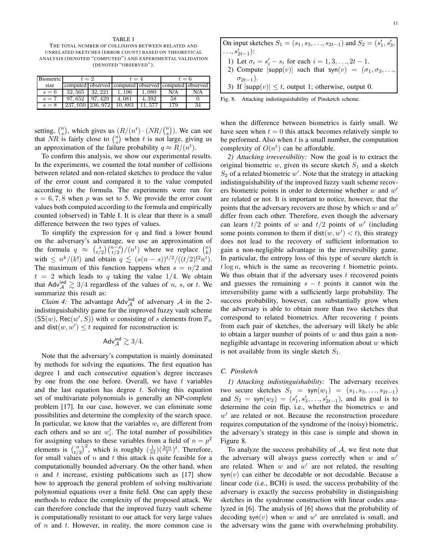TABLE I THE TOTAL NUMBER OF COLLISIONS BETWEEN RELATED AND UNRELATED SKETCHES (ERROR COUNT) BASED ON THEORETICAL ANALYS IS (DENOTED "COMPUTED") AND EXPERIMENTAL VALIDATION (DENOTED "OBSERVED").

| Biometric | $t=2$                         |                     | $t=4$                                                 |        | $t=6$ |     |
|-----------|-------------------------------|---------------------|-------------------------------------------------------|--------|-------|-----|
| size      |                               |                     | computed observed computed observed computed observed |        |       |     |
| $s=6$     |                               | $32,565$   $32,221$ | 1.196                                                 | 1.080  | N/A   | N/A |
| $s=7$     |                               | $97,652$ 97.429     | 4.081                                                 | 4.392  | 58    |     |
| $s=8$     | 237, 050   236, 972   10, 883 |                     |                                                       | 11.577 | 179   | 34  |

setting,  $\binom{n}{s}$ , which gives us  $\left(R/(n^t)\cdot (NR/\binom{n}{s})\right)$ . We can see that NR is fairly close to  $\binom{n}{s}$  when t is not large, giving us an approximation of the failure probability  $q \approx R/(n^t)$ .

To confirm this analysis, we show our experimental results. In the experiments, we counted the total number of collisions between related and non-related sketches to produce the value of the error count and compared it to the value computed according to the formula. The experiments were run for  $s = 6, 7, 8$  when p was set to 5. We provide the error count values both computed according to the formula and empirically counted (observed) in Table I. It is clear that there is a small difference between the two types of values.

To simplify the expression for  $q$  and find a lower bound on the adversary's advantage, we use an approximation of the formula  $q \approx {s \choose t/2} {n-s \choose t/2} / (n^t)$  where we replace  ${n \choose k}$ with  $\leq n^{k}/(k!)$  and obtain  $q \leq (s(n-s))^{t/2}/((t/2)!^{2}n^{t}).$ The maximum of this function happens when  $s = n/2$  and  $t = 2$  which leads to q taking the value 1/4. We obtain that Adv<sup>ind</sup>  $\geq 3/4$  regardless of the values of *n*, *s*, or *t*. We summarize this result as:

*Claim 4:* The advantage  $\text{Adv}_{\mathcal{A}}^{\text{ind}}$  of adversary  $\mathcal{A}$  in the 2indistinguishability game for the improved fuzzy vault scheme  $(SS(w), Rec(w', S))$  with w consisting of s elements from  $\mathbb{F}_n$ and dist $(w, w') \leq t$  required for reconstruction is:

$$
\mathsf{Adv}_{\mathcal{A}}^{\mathsf{ind}} \gtrsim 3/4.
$$

Note that the adversary's computation is mainly dominated by methods for solving the equations. The first equation has degree 1 and each consecutive equation's degree increases by one from the one before. Overall, we have  $t$  variables and the last equation has degree  $t$ . Solving this equation set of multivariate polynomials is generally an NP-complete problem [17]. In our case, however, we can eliminate some possibilities and determine the complexity of the search space. In particular, we know that the variables  $w_i$  are different from each others and so are  $w'_i$ . The total number of possibilities for assigning values to these variables from a field of  $n = p^2$ elements is  $\binom{n}{t/2}^2$ , which is roughly  $\left(\frac{1}{\pi t}\right)\left(\frac{2en}{t}\right)^t$ . Therefore, for small values of  $n$  and  $t$  this attack is quite feasible for a computationally bounded adversary. On the other hand, when  $n$  and  $t$  increase, existing publications such as [17] show how to approach the general problem of solving multivariate polynomial equations over a finite field. One can apply these methods to reduce the complexity of the proposed attack. We can therefore conclude that the improved fuzzy vault scheme is computationally resistant to our attack for very large values of  $n$  and  $t$ . However, in reality, the more common case is 3) If  $|\textsf{supp}(v)| \leq t$ , output 1; otherwise, output 0.

Fig. 8. Attacking indistinguishability of Pinsketch scheme.

when the difference between biometrics is fairly small. We have seen when  $t = 0$  this attack becomes relatively simple to be performed. Also when  $t$  is a small number, the computation complexity of  $O(n^t)$  can be affordable.

*2) Attacking irreversibility:* Now the goal is to extract the original biometric  $w$ , given its secure sketch  $S_1$  and a sketch  $S_2$  of a related biometric  $w'$ . Note that the strategy in attacking indistinguishability of the improved fuzzy vault scheme recovers biometric points in order to determine whether  $w$  and  $w'$ are related or not. It is important to notice, however, that the points that the adversary recovers are those by which  $w$  and  $w'$ differ from each other. Therefore, even though the adversary can learn  $t/2$  points of w and  $t/2$  points of w' (including some points common to them if  $dist(w, w') < t$ , this strategy does not lead to the recovery of sufficient information to gain a non-negligible advantage in the irreversibility game. In particular, the entropy loss of this type of secure sketch is  $t \log n$ , which is the same as recovering t biometric points. We thus obtain that if the adversary uses  $t$  recovered points and guesses the remaining  $s - t$  points it cannot win the irreversibility game with a sufficiently large probability. The success probability, however, can substantially grow when the adversary is able to obtain more than two sketches that correspond to related biometrics. After recovering  $t$  points from each pair of sketches, the adversary will likely be able to obtain a larger number of points of  $w$  and thus gain a nonnegligible advantage in recovering information about  $w$  which is not available from its single sketch  $S_1$ .

# *C. Pinsketch*

*1) Attacking indistinguishability:* The adversary receives two secure sketches  $S_1 = \text{syn}(w_1) = (s_1, s_3, \ldots, s_{2t-1})$ and  $S_2 = \text{syn}(w_2) = (s'_1, s'_3, \ldots, s'_{2t-1})$ , and its goal is to determine the coin flip, i.e., whether the biometrics  $w$  and  $w'$  are related or not. Because the reconstruction procedure requires computation of the syndrome of the (noisy) biometric, the adversary's strategy in this case is simple and shown in Figure 8.

To analyze the success probability of  $A$ , we first note that the adversary will always guess correctly when  $w$  and  $w'$ are related. When  $w$  and  $w'$  are not related, the resulting  $syn(v)$  can either be decodable or not decodable. Because a linear code (i.e., BCH) is used, the success probability of the adversary is exactly the success probability in distinguishing sketches in the syndrome construction with linear codes analyzed in [6]. The analysis of [6] shows that the probability of decoding syn(v) when w and w' are unrelated is small, and the adversary wins the game with overwhelming probability.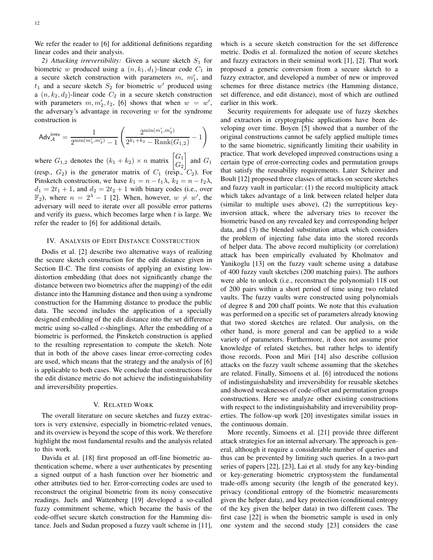We refer the reader to [6] for additional definitions regarding linear codes and their analysis.

2) Attacking irreversibility: Given a secure sketch  $S_1$  for biometric w produced using a  $(n, k_1, d_1)$ -linear code  $C_1$  in a secure sketch construction with parameters  $m$ ,  $m'_1$ , and  $t_1$  and a secure sketch  $S_2$  for biometric w' produced using a  $(n, k_2, d_2)$ -linear code  $C_2$  in a secure sketch construction with parameters  $m, m'_2, t_2$ , [6] shows that when  $w = w'$ , the adversary's advantage in recovering  $w$  for the syndrome construction is

$$
\mathsf{Adv}_{\mathcal{A}}^{\mathsf{irrev}} = \frac{1}{2^{\min(m'_1, m'_2)} - 1} \left( \frac{2^{\min(m'_1, m'_2)}}{2^{k_1 + k_2} - \text{Rank}(G_{1,2})} - 1 \right)
$$

where  $G_{1,2}$  denotes the  $(k_1 + k_2) \times n$  matrix  $\begin{bmatrix} G_1 \\ G_2 \end{bmatrix}$  $\scriptstyle G_2$ and  $G_1$ (resp.,  $G_2$ ) is the generator matrix of  $C_1$  (resp.,  $C_2$ ). For Pinsketch construction, we have  $k_1 = n - t_1 \lambda$ ,  $k_2 = n - t_2 \lambda$ ,  $d_1 = 2t_1 + 1$ , and  $d_2 = 2t_2 + 1$  with binary codes (i.e., over  $\mathbb{F}_2$ ), where  $n = 2^{\lambda} - 1$  [2]. When, however,  $w \neq w'$ , the adversary will need to iterate over all possible error patterns and verify its guess, which becomes large when  $t$  is large. We refer the reader to [6] for additional details.

## IV. ANALYSIS OF EDIT DISTANCE CONSTRUCTION

Dodis et al. [2] describe two alternative ways of realizing the secure sketch construction for the edit distance given in Section II-C. The first consists of applying an existing lowdistortion embedding (that does not significantly change the distance between two biometrics after the mapping) of the edit distance into the Hamming distance and then using a syndrome construction for the Hamming distance to produce the public data. The second includes the application of a specially designed embedding of the edit distance into the set difference metric using so-called c-shinglings. After the embedding of a biometric is performed, the Pinsketch construction is applied to the resulting representation to compute the sketch. Note that in both of the above cases linear error-correcting codes are used, which means that the strategy and the analysis of [6] is applicable to both cases. We conclude that constructions for the edit distance metric do not achieve the indistinguishability and irreversibility properties.

### V. RELATED WORK

The overall literature on secure sketches and fuzzy extractors is very extensive, especially in biometric-related venues, and its overview is beyond the scope of this work. We therefore highlight the most fundamental results and the analysis related to this work.

Davida et al. [18] first proposed an off-line biometric authentication scheme, where a user authenticates by presenting a signed output of a hash function over her biometric and other attributes tied to her. Error-correcting codes are used to reconstruct the original biometric from its noisy consecutive readings. Juels and Wattenberg [19] developed a so-called fuzzy commitment scheme, which became the basis of the code-offset secure sketch construction for the Hamming distance. Juels and Sudan proposed a fuzzy vault scheme in [11], which is a secure sketch construction for the set difference metric. Dodis et al. formalized the notion of secure sketches and fuzzy extractors in their seminal work [1], [2]. That work proposed a generic conversion from a secure sketch to a fuzzy extractor, and developed a number of new or improved schemes for three distance metrics (the Hamming distance, set difference, and edit distance), most of which are outlined earlier in this work.

Security requirements for adequate use of fuzzy sketches and extractors in cryptographic applications have been developing over time. Boyen [5] showed that a number of the original constructions cannot be safely applied multiple times to the same biometric, significantly limiting their usability in practice. That work developed improved constructions using a certain type of error-correcting codes and permutation groups that satisfy the reusability requirements. Later Scheirer and Boult [12] proposed three classes of attacks on secure sketches and fuzzy vault in particular: (1) the record multiplicity attack which takes advantage of a link between related helper data (similar to multiple uses above), (2) the surreptitious keyinversion attack, where the adversary tries to recover the biometric based on any revealed key and corresponding helper data, and (3) the blended substitution attack which considers the problem of injecting false data into the stored records of helper data. The above record multiplicity (or correlation) attack has been empirically evaluated by Kholmatov and Yanikoglu [13] on the fuzzy vault scheme using a database of 400 fuzzy vault sketches (200 matching pairs). The authors were able to unlock (i.e., reconstruct the polynomial) 118 out of 200 pairs within a short period of time using two related vaults. The fuzzy vaults were constructed using polynomials of degree 8 and 200 chaff points. We note that this evaluation was performed on a specific set of parameters already knowing that two stored sketches are related. Our analysis, on the other hand, is more general and can be applied to a wide variety of parameters. Furthermore, it does not assume prior knowledge of related sketches, but rather helps to identify those records. Poon and Miri [14] also describe collusion attacks on the fuzzy vault scheme assuming that the sketches are related. Finally, Simoens et al. [6] introduced the notions of indistinguishability and irreversibility for reusable sketches and showed weaknesses of code-offset and permutation groups constructions. Here we analyze other existing constructions with respect to the indistinguishability and irreversibility properties. The follow-up work [20] investigates similar issues in the continuous domain.

More recently, Simoens et al. [21] provide three different attack strategies for an internal adversary. The approach is general, although it require a considerable number of queries and thus can be prevented by limiting such queries. In a two-part series of papers [22], [23], Lai et al. study for any key-binding or key-generating biometric cryptosystem the fundamental trade-offs among security (the length of the generated key), privacy (conditional entropy of the biometric measurements given the helper data), and key protection (conditional entropy of the key given the helper data) in two different cases. The first case [22] is when the biometric sample is used in only one system and the second study [23] considers the case